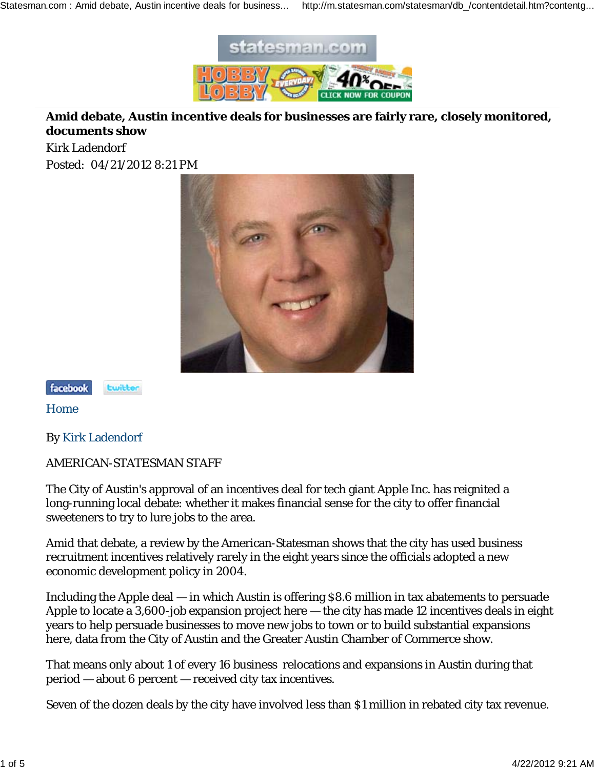

## **Amid debate, Austin incentive deals for businesses are fairly rare, closely monitored, documents show**

Kirk Ladendorf Posted: 04/21/2012 8:21 PM





Home

By Kirk Ladendorf

AMERICAN-STATESMAN STAFF

The City of Austin's approval of an incentives deal for tech giant Apple Inc. has reignited a long-running local debate: whether it makes financial sense for the city to offer financial sweeteners to try to lure jobs to the area.

Amid that debate, a review by the American-Statesman shows that the city has used business recruitment incentives relatively rarely in the eight years since the officials adopted a new economic development policy in 2004.

Including the Apple deal — in which Austin is offering \$8.6 million in tax abatements to persuade Apple to locate a 3,600-job expansion project here — the city has made 12 incentives deals in eight years to help persuade businesses to move new jobs to town or to build substantial expansions here, data from the City of Austin and the Greater Austin Chamber of Commerce show.

That means only about 1 of every 16 business relocations and expansions in Austin during that period — about 6 percent — received city tax incentives.

Seven of the dozen deals by the city have involved less than \$1 million in rebated city tax revenue.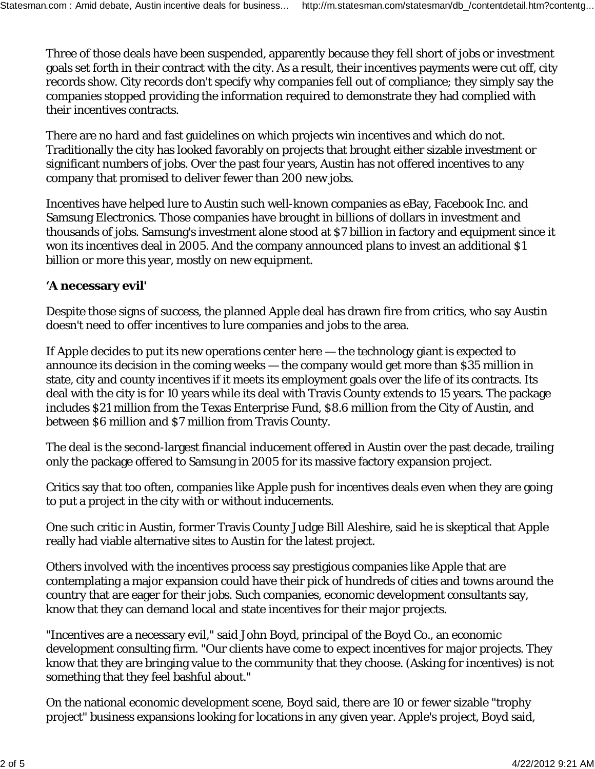Three of those deals have been suspended, apparently because they fell short of jobs or investment goals set forth in their contract with the city. As a result, their incentives payments were cut off, city records show. City records don't specify why companies fell out of compliance; they simply say the companies stopped providing the information required to demonstrate they had complied with their incentives contracts.

There are no hard and fast guidelines on which projects win incentives and which do not. Traditionally the city has looked favorably on projects that brought either sizable investment or significant numbers of jobs. Over the past four years, Austin has not offered incentives to any company that promised to deliver fewer than 200 new jobs.

Incentives have helped lure to Austin such well-known companies as eBay, Facebook Inc. and Samsung Electronics. Those companies have brought in billions of dollars in investment and thousands of jobs. Samsung's investment alone stood at \$7 billion in factory and equipment since it won its incentives deal in 2005. And the company announced plans to invest an additional \$1 billion or more this year, mostly on new equipment.

## **'A necessary evil'**

Despite those signs of success, the planned Apple deal has drawn fire from critics, who say Austin doesn't need to offer incentives to lure companies and jobs to the area.

If Apple decides to put its new operations center here — the technology giant is expected to announce its decision in the coming weeks — the company would get more than \$35 million in state, city and county incentives if it meets its employment goals over the life of its contracts. Its deal with the city is for 10 years while its deal with Travis County extends to 15 years. The package includes \$21 million from the Texas Enterprise Fund, \$8.6 million from the City of Austin, and between \$6 million and \$7 million from Travis County.

The deal is the second-largest financial inducement offered in Austin over the past decade, trailing only the package offered to Samsung in 2005 for its massive factory expansion project.

Critics say that too often, companies like Apple push for incentives deals even when they are going to put a project in the city with or without inducements.

One such critic in Austin, former Travis County Judge Bill Aleshire, said he is skeptical that Apple really had viable alternative sites to Austin for the latest project.

Others involved with the incentives process say prestigious companies like Apple that are contemplating a major expansion could have their pick of hundreds of cities and towns around the country that are eager for their jobs. Such companies, economic development consultants say, know that they can demand local and state incentives for their major projects.

"Incentives are a necessary evil," said John Boyd, principal of the Boyd Co., an economic development consulting firm. "Our clients have come to expect incentives for major projects. They know that they are bringing value to the community that they choose. (Asking for incentives) is not something that they feel bashful about."

On the national economic development scene, Boyd said, there are 10 or fewer sizable "trophy project" business expansions looking for locations in any given year. Apple's project, Boyd said,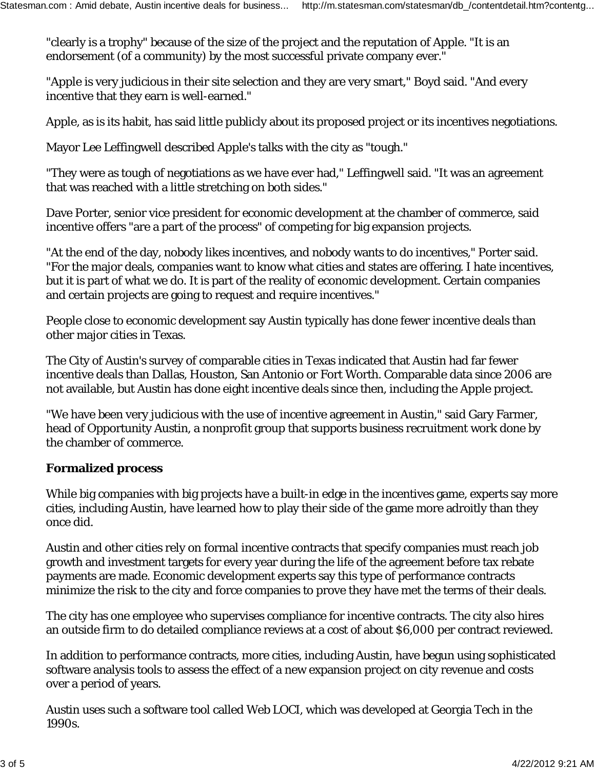"clearly is a trophy" because of the size of the project and the reputation of Apple. "It is an endorsement (of a community) by the most successful private company ever."

"Apple is very judicious in their site selection and they are very smart," Boyd said. "And every incentive that they earn is well-earned."

Apple, as is its habit, has said little publicly about its proposed project or its incentives negotiations.

Mayor Lee Leffingwell described Apple's talks with the city as "tough."

"They were as tough of negotiations as we have ever had," Leffingwell said. "It was an agreement that was reached with a little stretching on both sides."

Dave Porter, senior vice president for economic development at the chamber of commerce, said incentive offers "are a part of the process" of competing for big expansion projects.

"At the end of the day, nobody likes incentives, and nobody wants to do incentives," Porter said. "For the major deals, companies want to know what cities and states are offering. I hate incentives, but it is part of what we do. It is part of the reality of economic development. Certain companies and certain projects are going to request and require incentives."

People close to economic development say Austin typically has done fewer incentive deals than other major cities in Texas.

The City of Austin's survey of comparable cities in Texas indicated that Austin had far fewer incentive deals than Dallas, Houston, San Antonio or Fort Worth. Comparable data since 2006 are not available, but Austin has done eight incentive deals since then, including the Apple project.

"We have been very judicious with the use of incentive agreement in Austin," said Gary Farmer, head of Opportunity Austin, a nonprofit group that supports business recruitment work done by the chamber of commerce.

## **Formalized process**

While big companies with big projects have a built-in edge in the incentives game, experts say more cities, including Austin, have learned how to play their side of the game more adroitly than they once did.

Austin and other cities rely on formal incentive contracts that specify companies must reach job growth and investment targets for every year during the life of the agreement before tax rebate payments are made. Economic development experts say this type of performance contracts minimize the risk to the city and force companies to prove they have met the terms of their deals.

The city has one employee who supervises compliance for incentive contracts. The city also hires an outside firm to do detailed compliance reviews at a cost of about \$6,000 per contract reviewed.

In addition to performance contracts, more cities, including Austin, have begun using sophisticated software analysis tools to assess the effect of a new expansion project on city revenue and costs over a period of years.

Austin uses such a software tool called Web LOCI, which was developed at Georgia Tech in the 1990s.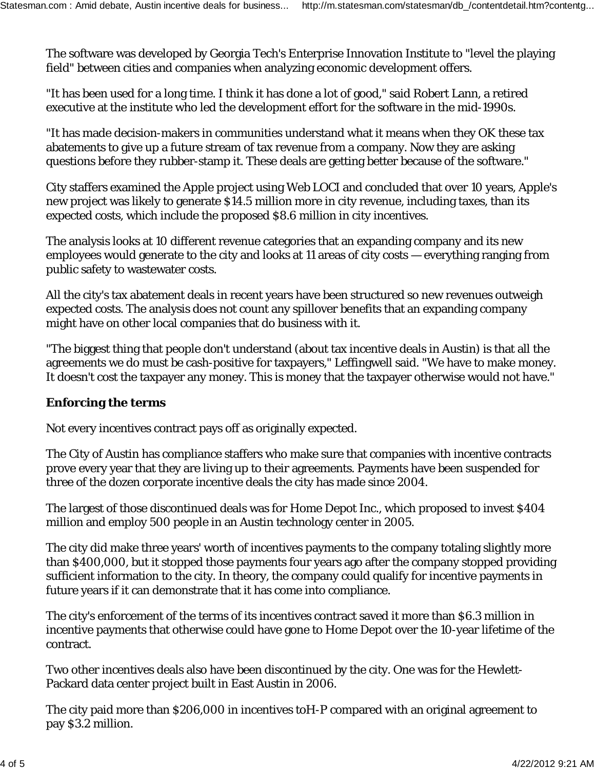The software was developed by Georgia Tech's Enterprise Innovation Institute to "level the playing field" between cities and companies when analyzing economic development offers.

"It has been used for a long time. I think it has done a lot of good," said Robert Lann, a retired executive at the institute who led the development effort for the software in the mid-1990s.

"It has made decision-makers in communities understand what it means when they OK these tax abatements to give up a future stream of tax revenue from a company. Now they are asking questions before they rubber-stamp it. These deals are getting better because of the software."

City staffers examined the Apple project using Web LOCI and concluded that over 10 years, Apple's new project was likely to generate \$14.5 million more in city revenue, including taxes, than its expected costs, which include the proposed \$8.6 million in city incentives.

The analysis looks at 10 different revenue categories that an expanding company and its new employees would generate to the city and looks at 11 areas of city costs — everything ranging from public safety to wastewater costs.

All the city's tax abatement deals in recent years have been structured so new revenues outweigh expected costs. The analysis does not count any spillover benefits that an expanding company might have on other local companies that do business with it.

"The biggest thing that people don't understand (about tax incentive deals in Austin) is that all the agreements we do must be cash-positive for taxpayers," Leffingwell said. "We have to make money. It doesn't cost the taxpayer any money. This is money that the taxpayer otherwise would not have."

## **Enforcing the terms**

Not every incentives contract pays off as originally expected.

The City of Austin has compliance staffers who make sure that companies with incentive contracts prove every year that they are living up to their agreements. Payments have been suspended for three of the dozen corporate incentive deals the city has made since 2004.

The largest of those discontinued deals was for Home Depot Inc., which proposed to invest \$404 million and employ 500 people in an Austin technology center in 2005.

The city did make three years' worth of incentives payments to the company totaling slightly more than \$400,000, but it stopped those payments four years ago after the company stopped providing sufficient information to the city. In theory, the company could qualify for incentive payments in future years if it can demonstrate that it has come into compliance.

The city's enforcement of the terms of its incentives contract saved it more than \$6.3 million in incentive payments that otherwise could have gone to Home Depot over the 10-year lifetime of the contract.

Two other incentives deals also have been discontinued by the city. One was for the Hewlett-Packard data center project built in East Austin in 2006.

The city paid more than \$206,000 in incentives toH-P compared with an original agreement to pay \$3.2 million.